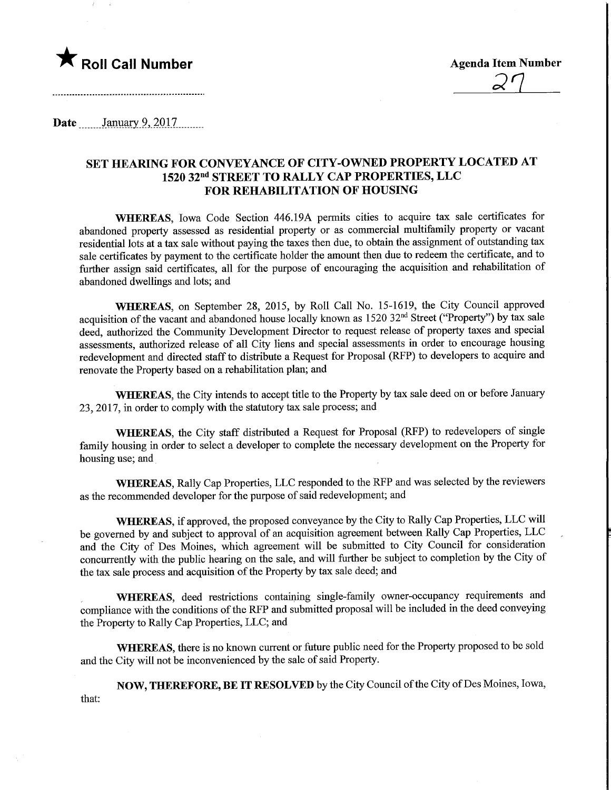

 $2^{\prime}$ 

**Date** January 9, 2017

## SET HEARING FOR CONVEYANCE OF CITY-OWNED PROPERTY LOCATED AT 1520 32nd STREET TO RALLY CAP PROPERTIES, LLC FOR REHABILITATION OF HOUSING

WHEREAS, Iowa Code Section 446.19A permits cities to acquire tax sale certificates for abandoned property assessed as residential property or as commercial multifamily property or vacant residential lots at a tax sale without paying the taxes then due, to obtain the assignment of outstanding tax sale certificates by payment to the certificate holder the amount then due to redeem the certificate, and to further assign said certificates, all for the purpose of encouraging the acquisition and rehabilitation of abandoned dwellings and lots; and

WHEREAS, on September 28, 2015, by Roll Call No. 15-1619, the City Council approved acquisition of the vacant and abandoned house locally known as 1520 32<sup>nd</sup> Street ("Property") by tax sale deed, authorized the Community Development Director to request release of property taxes and special assessments, authorized release of all City liens and special assessments in order to encourage housing redevelopment and directed staff to distribute a Request for Proposal (RFP) to developers to acquire and renovate the Property based on a rehabilitation plan; and

WHEREAS, the City intends to accept title to the Property by tax sale deed on or before January 23, 2017, in order to comply with the statutory tax sale process; and

WHEREAS, the City staff distributed a Request for Proposal (RFP) to redevelopers of single family housing in order to select a developer to complete the necessary development on the Property for housing use; and

WHEREAS, Rally Cap Properties, LLC responded to the RFP and was selected by the reviewers as the recommended developer for the purpose of said redevelopment; and

WHEREAS, if approved, the proposed conveyance by the City to Rally Cap Properties, LLC will be governed by and subject to approval of an acquisition agreement between Rally Cap Properties, LLC and the City of Des Moines, which agreement will be submitted to City Council for consideration concurrently with the public hearing on the sale, and will further be subject to completion by the City of the tax sale process and acquisition of the Property by tax sale deed; and

WHEREAS, deed restrictions containing single-family owner-occupancy requirements and compliance with the conditions of the RFP and submitted proposal will be included in the deed conveying the Property to Rally Cap Properties, LLC; and

WHEREAS, there is no known current or future public need for the Property proposed to be sold and the City will not be inconvenienced by the sale of said Property.

NOW, THEREFORE, BE IT RESOLVED by the City Council of the City of Des Moines, Iowa, that: